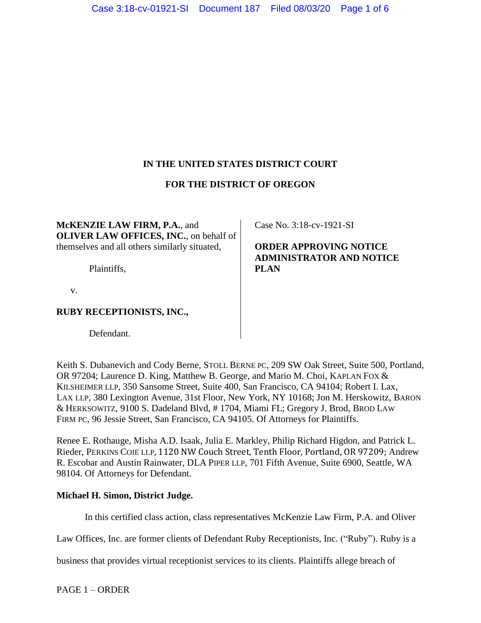# **IN THE UNITED STATES DISTRICT COURT**

## **FOR THE DISTRICT OF OREGON**

**McKENZIE LAW FIRM, P.A.**, and **OLIVER LAW OFFICES, INC.**, on behalf of themselves and all others similarly situated,

Plaintiffs,

v.

## **RUBY RECEPTIONISTS, INC.,**

Defendant.

Case No. 3:18-cv-1921-SI

**ORDER APPROVING NOTICE ADMINISTRATOR AND NOTICE PLAN**

Keith S. Dubanevich and Cody Berne, STOLL BERNE PC, 209 SW Oak Street, Suite 500, Portland, OR 97204; Laurence D. King, Matthew B. George, and Mario M. Choi, KAPLAN FOX & KILSHEIMER LLP, 350 Sansome Street, Suite 400, San Francisco, CA 94104; Robert I. Lax, LAX LLP, 380 Lexington Avenue, 31st Floor, New York, NY 10168; Jon M. Herskowitz, BARON & HERKSOWITZ, 9100 S. Dadeland Blvd, # 1704, Miami FL; Gregory J. Brod, BROD LAW FIRM PC, 96 Jessie Street, San Francisco, CA 94105. Of Attorneys for Plaintiffs.

Renee E. Rothauge, Misha A.D. Isaak, Julia E. Markley, Philip Richard Higdon, and Patrick L. Rieder, PERKINS COIE LLP, 1120 NW Couch Street, Tenth Floor, Portland, OR 97209; Andrew R. Escobar and Austin Rainwater, DLA PIPER LLP, 701 Fifth Avenue, Suite 6900, Seattle, WA 98104. Of Attorneys for Defendant.

## **Michael H. Simon, District Judge.**

In this certified class action, class representatives McKenzie Law Firm, P.A. and Oliver

Law Offices, Inc. are former clients of Defendant Ruby Receptionists, Inc. ("Ruby"). Ruby is a

business that provides virtual receptionist services to its clients. Plaintiffs allege breach of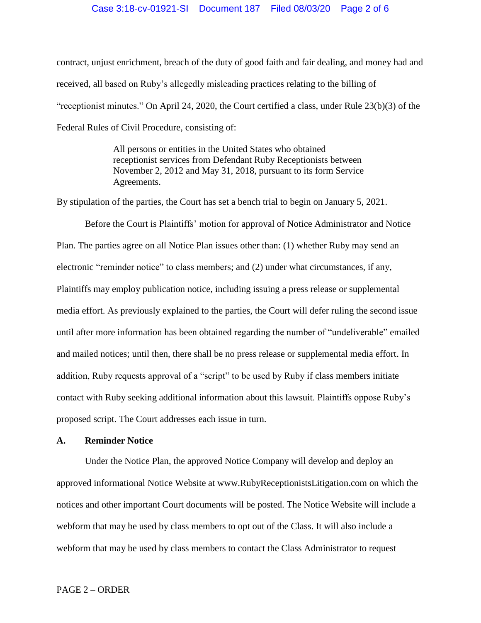### Case 3:18-cv-01921-SI Document 187 Filed 08/03/20 Page 2 of 6

contract, unjust enrichment, breach of the duty of good faith and fair dealing, and money had and received, all based on Ruby's allegedly misleading practices relating to the billing of "receptionist minutes." On April 24, 2020, the Court certified a class, under Rule 23(b)(3) of the Federal Rules of Civil Procedure, consisting of:

> All persons or entities in the United States who obtained receptionist services from Defendant Ruby Receptionists between November 2, 2012 and May 31, 2018, pursuant to its form Service Agreements.

By stipulation of the parties, the Court has set a bench trial to begin on January 5, 2021.

Before the Court is Plaintiffs' motion for approval of Notice Administrator and Notice Plan. The parties agree on all Notice Plan issues other than: (1) whether Ruby may send an electronic "reminder notice" to class members; and (2) under what circumstances, if any, Plaintiffs may employ publication notice, including issuing a press release or supplemental media effort. As previously explained to the parties, the Court will defer ruling the second issue until after more information has been obtained regarding the number of "undeliverable" emailed and mailed notices; until then, there shall be no press release or supplemental media effort. In addition, Ruby requests approval of a "script" to be used by Ruby if class members initiate contact with Ruby seeking additional information about this lawsuit. Plaintiffs oppose Ruby's proposed script. The Court addresses each issue in turn.

### **A. Reminder Notice**

Under the Notice Plan, the approved Notice Company will develop and deploy an approved informational Notice Website at www.RubyReceptionistsLitigation.com on which the notices and other important Court documents will be posted. The Notice Website will include a webform that may be used by class members to opt out of the Class. It will also include a webform that may be used by class members to contact the Class Administrator to request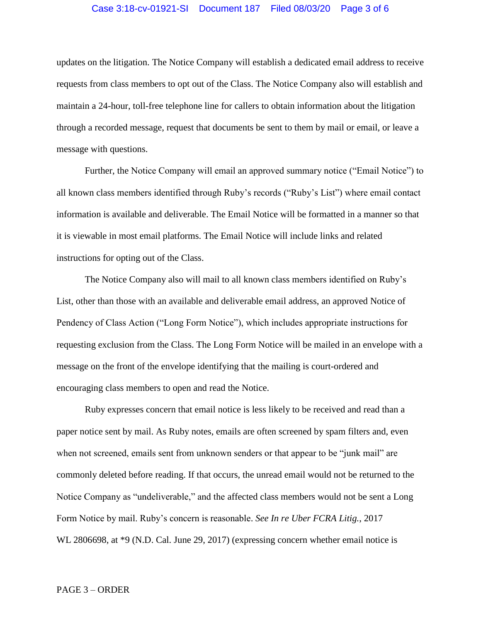### Case 3:18-cv-01921-SI Document 187 Filed 08/03/20 Page 3 of 6

updates on the litigation. The Notice Company will establish a dedicated email address to receive requests from class members to opt out of the Class. The Notice Company also will establish and maintain a 24-hour, toll-free telephone line for callers to obtain information about the litigation through a recorded message, request that documents be sent to them by mail or email, or leave a message with questions.

Further, the Notice Company will email an approved summary notice ("Email Notice") to all known class members identified through Ruby's records ("Ruby's List") where email contact information is available and deliverable. The Email Notice will be formatted in a manner so that it is viewable in most email platforms. The Email Notice will include links and related instructions for opting out of the Class.

The Notice Company also will mail to all known class members identified on Ruby's List, other than those with an available and deliverable email address, an approved Notice of Pendency of Class Action ("Long Form Notice"), which includes appropriate instructions for requesting exclusion from the Class. The Long Form Notice will be mailed in an envelope with a message on the front of the envelope identifying that the mailing is court-ordered and encouraging class members to open and read the Notice.

Ruby expresses concern that email notice is less likely to be received and read than a paper notice sent by mail. As Ruby notes, emails are often screened by spam filters and, even when not screened, emails sent from unknown senders or that appear to be "junk mail" are commonly deleted before reading. If that occurs, the unread email would not be returned to the Notice Company as "undeliverable," and the affected class members would not be sent a Long Form Notice by mail. Ruby's concern is reasonable. *See In re Uber FCRA Litig.*, 2017 WL 2806698, at  $*9$  (N.D. Cal. June 29, 2017) (expressing concern whether email notice is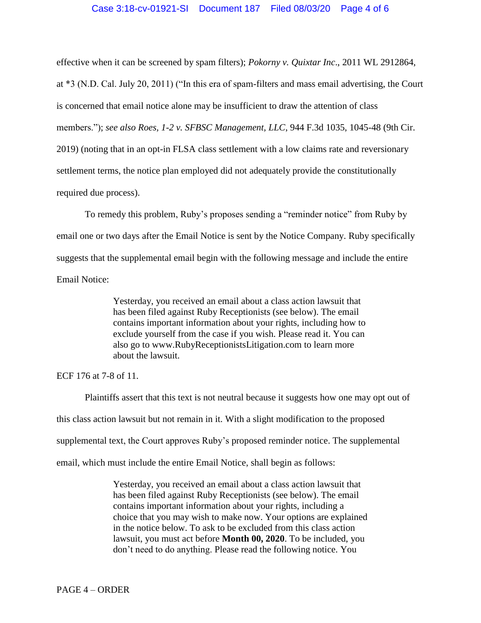effective when it can be screened by spam filters); *Pokorny v. Quixtar Inc*., 2011 WL 2912864,

at \*3 (N.D. Cal. July 20, 2011) ("In this era of spam-filters and mass email advertising, the Court is concerned that email notice alone may be insufficient to draw the attention of class members."); *see also Roes, 1-2 v. SFBSC Management, LLC*, 944 F.3d 1035, 1045-48 (9th Cir. 2019) (noting that in an opt-in FLSA class settlement with a low claims rate and reversionary settlement terms, the notice plan employed did not adequately provide the constitutionally required due process).

To remedy this problem, Ruby's proposes sending a "reminder notice" from Ruby by email one or two days after the Email Notice is sent by the Notice Company. Ruby specifically suggests that the supplemental email begin with the following message and include the entire Email Notice:

> Yesterday, you received an email about a class action lawsuit that has been filed against Ruby Receptionists (see below). The email contains important information about your rights, including how to exclude yourself from the case if you wish. Please read it. You can also go to www.RubyReceptionistsLitigation.com to learn more about the lawsuit.

ECF 176 at 7-8 of 11.

Plaintiffs assert that this text is not neutral because it suggests how one may opt out of this class action lawsuit but not remain in it. With a slight modification to the proposed supplemental text, the Court approves Ruby's proposed reminder notice. The supplemental email, which must include the entire Email Notice, shall begin as follows:

> Yesterday, you received an email about a class action lawsuit that has been filed against Ruby Receptionists (see below). The email contains important information about your rights, including a choice that you may wish to make now. Your options are explained in the notice below. To ask to be excluded from this class action lawsuit, you must act before **Month 00, 2020**. To be included, you don't need to do anything. Please read the following notice. You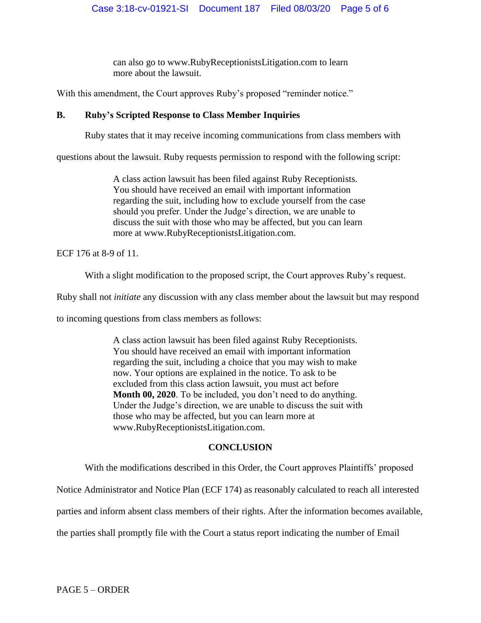can also go to www.RubyReceptionistsLitigation.com to learn more about the lawsuit.

With this amendment, the Court approves Ruby's proposed "reminder notice."

# **B. Ruby's Scripted Response to Class Member Inquiries**

Ruby states that it may receive incoming communications from class members with

questions about the lawsuit. Ruby requests permission to respond with the following script:

A class action lawsuit has been filed against Ruby Receptionists. You should have received an email with important information regarding the suit, including how to exclude yourself from the case should you prefer. Under the Judge's direction, we are unable to discuss the suit with those who may be affected, but you can learn more at www.RubyReceptionistsLitigation.com.

ECF 176 at 8-9 of 11.

With a slight modification to the proposed script, the Court approves Ruby's request.

Ruby shall not *initiate* any discussion with any class member about the lawsuit but may respond

to incoming questions from class members as follows:

A class action lawsuit has been filed against Ruby Receptionists. You should have received an email with important information regarding the suit, including a choice that you may wish to make now. Your options are explained in the notice. To ask to be excluded from this class action lawsuit, you must act before **Month 00, 2020**. To be included, you don't need to do anything. Under the Judge's direction, we are unable to discuss the suit with those who may be affected, but you can learn more at www.RubyReceptionistsLitigation.com.

# **CONCLUSION**

With the modifications described in this Order, the Court approves Plaintiffs' proposed

Notice Administrator and Notice Plan (ECF 174) as reasonably calculated to reach all interested

parties and inform absent class members of their rights. After the information becomes available,

the parties shall promptly file with the Court a status report indicating the number of Email